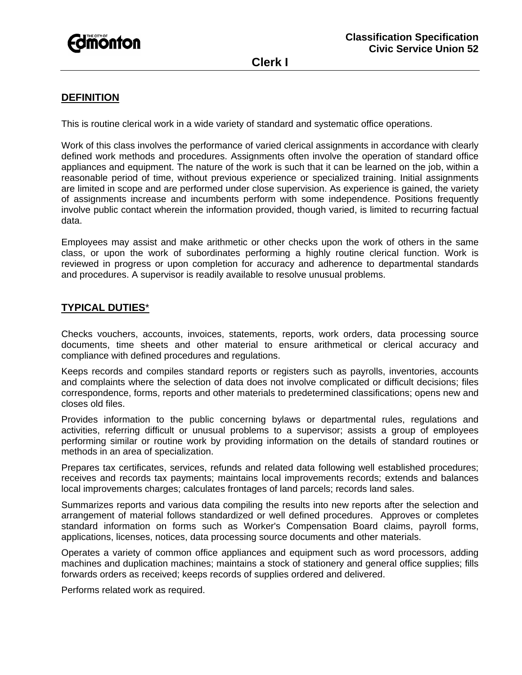

## **DEFINITION**

This is routine clerical work in a wide variety of standard and systematic office operations.

Work of this class involves the performance of varied clerical assignments in accordance with clearly defined work methods and procedures. Assignments often involve the operation of standard office appliances and equipment. The nature of the work is such that it can be learned on the job, within a reasonable period of time, without previous experience or specialized training. Initial assignments are limited in scope and are performed under close supervision. As experience is gained, the variety of assignments increase and incumbents perform with some independence. Positions frequently involve public contact wherein the information provided, though varied, is limited to recurring factual data.

Employees may assist and make arithmetic or other checks upon the work of others in the same class, or upon the work of subordinates performing a highly routine clerical function. Work is reviewed in progress or upon completion for accuracy and adherence to departmental standards and procedures. A supervisor is readily available to resolve unusual problems.

#### **TYPICAL DUTIES**\*

Checks vouchers, accounts, invoices, statements, reports, work orders, data processing source documents, time sheets and other material to ensure arithmetical or clerical accuracy and compliance with defined procedures and regulations.

Keeps records and compiles standard reports or registers such as payrolls, inventories, accounts and complaints where the selection of data does not involve complicated or difficult decisions; files correspondence, forms, reports and other materials to predetermined classifications; opens new and closes old files.

Provides information to the public concerning bylaws or departmental rules, regulations and activities, referring difficult or unusual problems to a supervisor; assists a group of employees performing similar or routine work by providing information on the details of standard routines or methods in an area of specialization.

Prepares tax certificates, services, refunds and related data following well established procedures; receives and records tax payments; maintains local improvements records; extends and balances local improvements charges; calculates frontages of land parcels; records land sales.

Summarizes reports and various data compiling the results into new reports after the selection and arrangement of material follows standardized or well defined procedures. Approves or completes standard information on forms such as Worker's Compensation Board claims, payroll forms, applications, licenses, notices, data processing source documents and other materials.

Operates a variety of common office appliances and equipment such as word processors, adding machines and duplication machines; maintains a stock of stationery and general office supplies; fills forwards orders as received; keeps records of supplies ordered and delivered.

Performs related work as required.